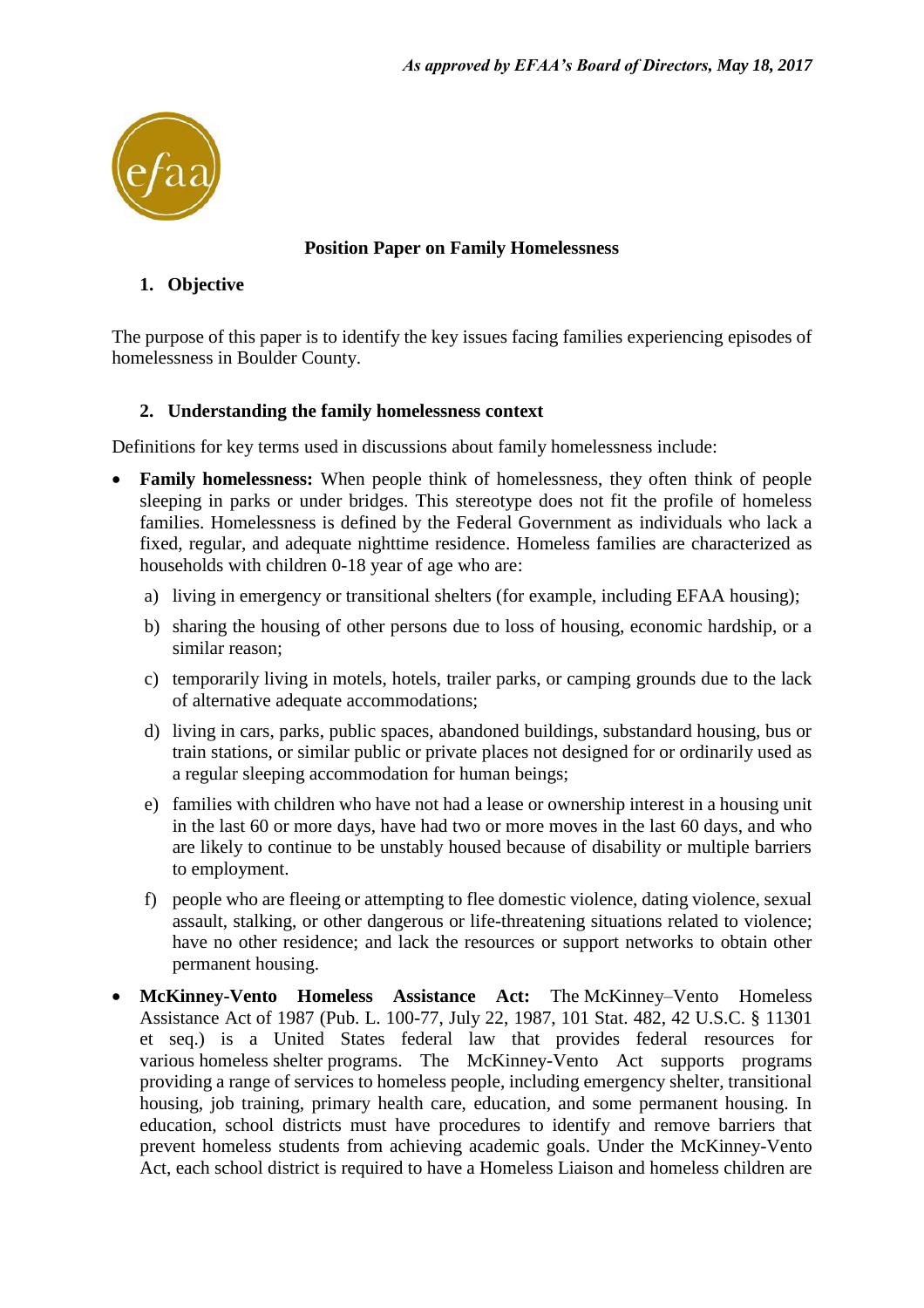

### **Position Paper on Family Homelessness**

# **1. Objective**

The purpose of this paper is to identify the key issues facing families experiencing episodes of homelessness in Boulder County.

# **2. Understanding the family homelessness context**

Definitions for key terms used in discussions about family homelessness include:

- **Family homelessness:** When people think of homelessness, they often think of people sleeping in parks or under bridges. This stereotype does not fit the profile of homeless families. Homelessness is defined by the Federal Government as individuals who lack a fixed, regular, and adequate nighttime residence. Homeless families are characterized as households with children 0-18 year of age who are:
	- a) living in emergency or transitional shelters (for example, including EFAA housing);
	- b) sharing the housing of other persons due to loss of housing, economic hardship, or a similar reason;
	- c) temporarily living in motels, hotels, trailer parks, or camping grounds due to the lack of alternative adequate accommodations;
	- d) living in cars, parks, public spaces, abandoned buildings, substandard housing, bus or train stations, or similar public or private places not designed for or ordinarily used as a regular sleeping accommodation for human beings;
	- e) families with children who have not had a lease or ownership interest in a housing unit in the last 60 or more days, have had two or more moves in the last 60 days, and who are likely to continue to be unstably housed because of disability or multiple barriers to employment.
	- f) people who are fleeing or attempting to flee domestic violence, dating violence, sexual assault, stalking, or other dangerous or life-threatening situations related to violence; have no other residence; and lack the resources or support networks to obtain other permanent housing.
- **McKinney-Vento Homeless Assistance Act:** The McKinney–Vento Homeless Assistance Act of 1987 (Pub. L. 100-77, July 22, 1987, 101 Stat. 482, 42 U.S.C. § 11301 et seq.) is a United States federal law that provides federal resources for various homeless shelter programs. The McKinney-Vento Act supports programs providing a range of services to homeless people, including emergency shelter, transitional housing, job training, primary health care, education, and some permanent housing. In education, school districts must have procedures to identify and remove barriers that prevent homeless students from achieving academic goals. Under the McKinney-Vento Act, each school district is required to have a Homeless Liaison and homeless children are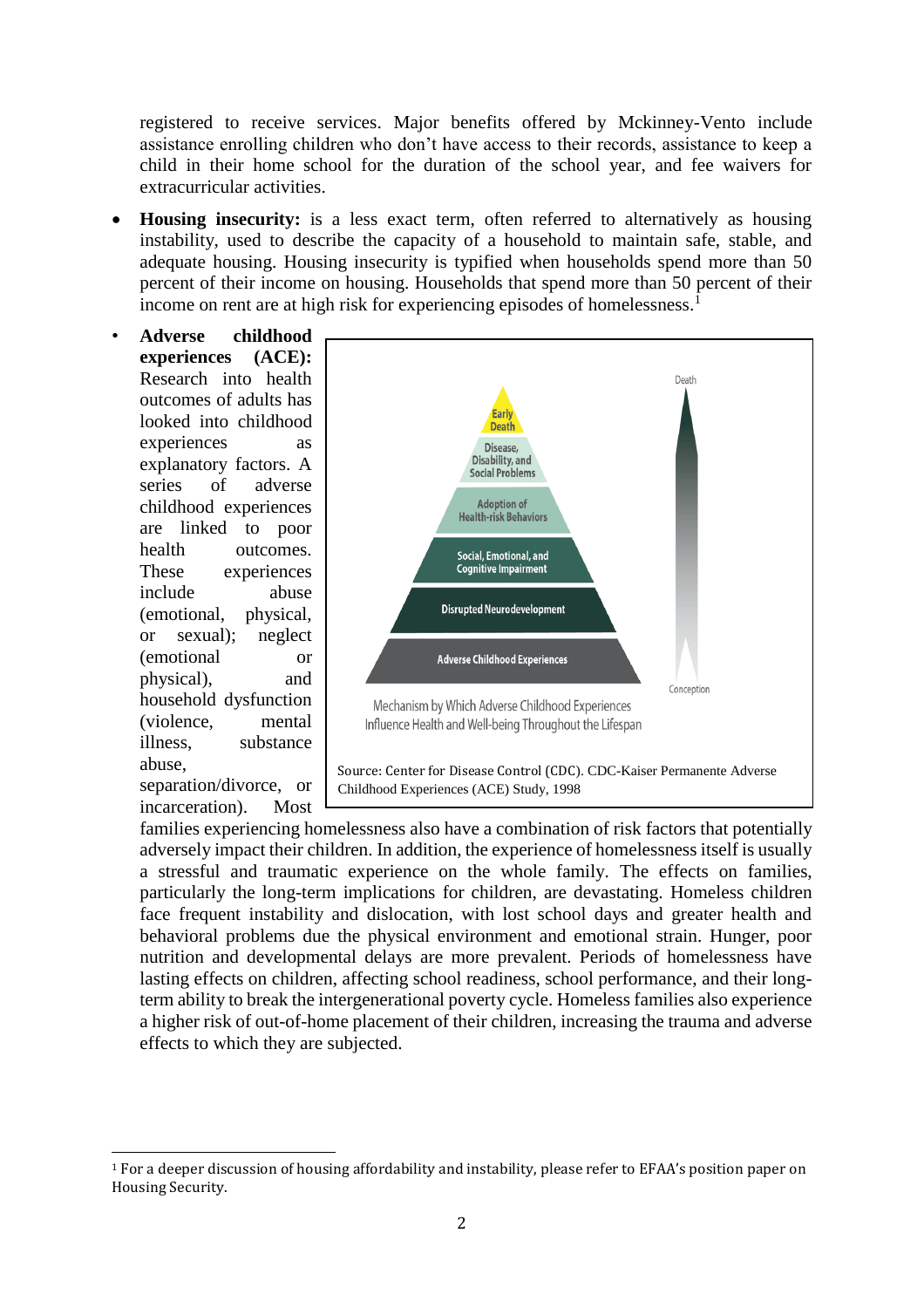registered to receive services. Major benefits offered by Mckinney-Vento include assistance enrolling children who don't have access to their records, assistance to keep a child in their home school for the duration of the school year, and fee waivers for extracurricular activities.

- **Housing insecurity:** is a less exact term, often referred to alternatively as housing instability, used to describe the capacity of a household to maintain safe, stable, and adequate housing. Housing insecurity is typified when households spend more than 50 percent of their income on housing. Households that spend more than 50 percent of their income on rent are at high risk for experiencing episodes of homelessness.<sup>1</sup>
- **Adverse childhood experiences (ACE):**  Research into health outcomes of adults has looked into childhood experiences as explanatory factors. A series of adverse childhood experiences are linked to poor health outcomes. These experiences include abuse (emotional, physical, or sexual); neglect (emotional or physical), and household dysfunction (violence, mental illness, substance abuse,

separation/divorce, or incarceration). Most



families experiencing homelessness also have a combination of risk factors that potentially adversely impact their children. In addition, the experience of homelessness itself is usually a stressful and traumatic experience on the whole family. The effects on families, particularly the long-term implications for children, are devastating. Homeless children face frequent instability and dislocation, with lost school days and greater health and behavioral problems due the physical environment and emotional strain. Hunger, poor nutrition and developmental delays are more prevalent. Periods of homelessness have lasting effects on children, affecting school readiness, school performance, and their longterm ability to break the intergenerational poverty cycle. Homeless families also experience a higher risk of out-of-home placement of their children, increasing the trauma and adverse effects to which they are subjected.

 $\overline{\phantom{0}}$ <sup>1</sup> For a deeper discussion of housing affordability and instability, please refer to EFAA's position paper on Housing Security.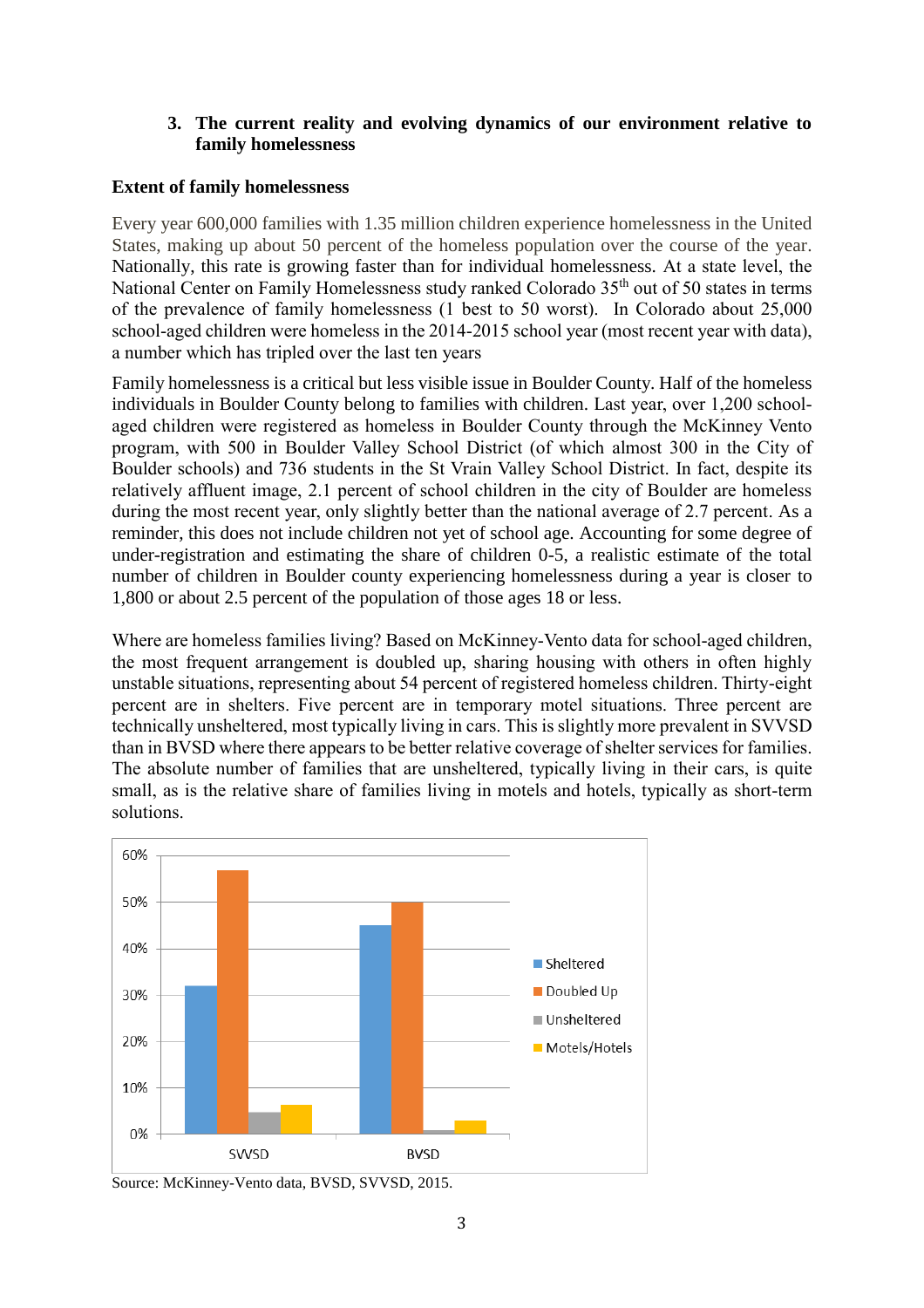## **3. The current reality and evolving dynamics of our environment relative to family homelessness**

## **Extent of family homelessness**

Every year 600,000 families with 1.35 million children experience homelessness in the United States, making up about 50 percent of the homeless population over the course of the year. Nationally, this rate is growing faster than for individual homelessness. At a state level, the National Center on Family Homelessness study ranked Colorado 35<sup>th</sup> out of 50 states in terms of the prevalence of family homelessness (1 best to 50 worst). In Colorado about 25,000 school-aged children were homeless in the 2014-2015 school year (most recent year with data), a number which has tripled over the last ten years

Family homelessness is a critical but less visible issue in Boulder County. Half of the homeless individuals in Boulder County belong to families with children. Last year, over 1,200 schoolaged children were registered as homeless in Boulder County through the McKinney Vento program, with 500 in Boulder Valley School District (of which almost 300 in the City of Boulder schools) and 736 students in the St Vrain Valley School District. In fact, despite its relatively affluent image, 2.1 percent of school children in the city of Boulder are homeless during the most recent year, only slightly better than the national average of 2.7 percent. As a reminder, this does not include children not yet of school age. Accounting for some degree of under-registration and estimating the share of children 0-5, a realistic estimate of the total number of children in Boulder county experiencing homelessness during a year is closer to 1,800 or about 2.5 percent of the population of those ages 18 or less.

Where are homeless families living? Based on McKinney-Vento data for school-aged children, the most frequent arrangement is doubled up, sharing housing with others in often highly unstable situations, representing about 54 percent of registered homeless children. Thirty-eight percent are in shelters. Five percent are in temporary motel situations. Three percent are technically unsheltered, most typically living in cars. This is slightly more prevalent in SVVSD than in BVSD where there appears to be better relative coverage of shelter services for families. The absolute number of families that are unsheltered, typically living in their cars, is quite small, as is the relative share of families living in motels and hotels, typically as short-term solutions.



Source: McKinney-Vento data, BVSD, SVVSD, 2015.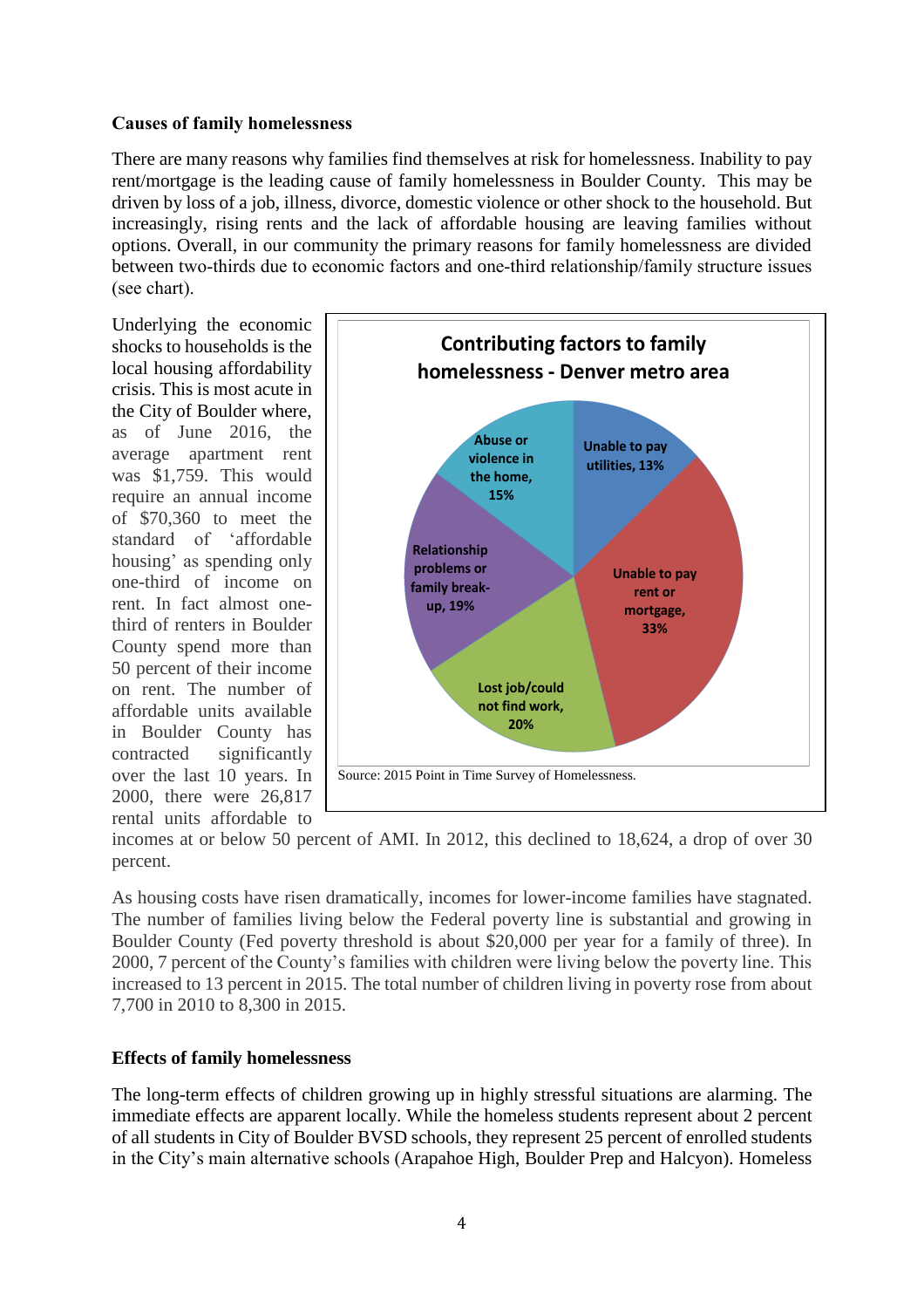### **Causes of family homelessness**

There are many reasons why families find themselves at risk for homelessness. Inability to pay rent/mortgage is the leading cause of family homelessness in Boulder County. This may be driven by loss of a job, illness, divorce, domestic violence or other shock to the household. But increasingly, rising rents and the lack of affordable housing are leaving families without options. Overall, in our community the primary reasons for family homelessness are divided between two-thirds due to economic factors and one-third relationship/family structure issues (see chart).

Underlying the economic shocks to households is the local housing affordability crisis. This is most acute in the City of Boulder where, as of June 2016, the average apartment rent was \$1,759. This would require an annual income of \$70,360 to meet the standard of 'affordable housing' as spending only one-third of income on rent. In fact almost onethird of renters in Boulder County spend more than 50 percent of their income on rent. The number of affordable units available in Boulder County has contracted significantly over the last 10 years. In 2000, there were 26,817 rental units affordable to



incomes at or below 50 percent of AMI. In 2012, this declined to 18,624, a drop of over 30 percent.

As housing costs have risen dramatically, incomes for lower-income families have stagnated. The number of families living below the Federal poverty line is substantial and growing in Boulder County (Fed poverty threshold is about \$20,000 per year for a family of three). In 2000, 7 percent of the County's families with children were living below the poverty line. This increased to 13 percent in 2015. The total number of children living in poverty rose from about 7,700 in 2010 to 8,300 in 2015.

# **Effects of family homelessness**

The long-term effects of children growing up in highly stressful situations are alarming. The immediate effects are apparent locally. While the homeless students represent about 2 percent of all students in City of Boulder BVSD schools, they represent 25 percent of enrolled students in the City's main alternative schools (Arapahoe High, Boulder Prep and Halcyon). Homeless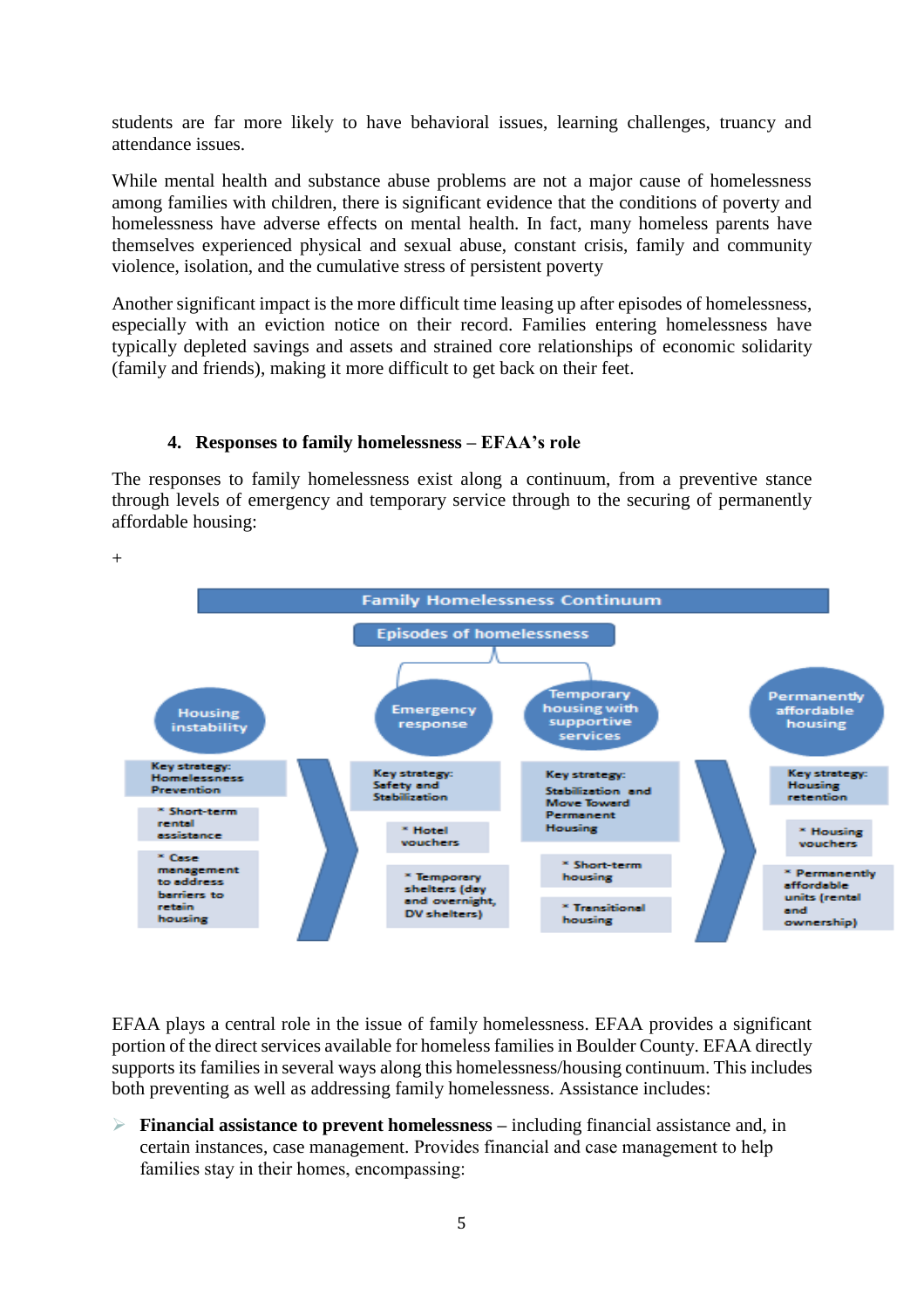students are far more likely to have behavioral issues, learning challenges, truancy and attendance issues.

While mental health and substance abuse problems are not a major cause of homelessness among families with children, there is significant evidence that the conditions of poverty and homelessness have adverse effects on mental health. In fact, many homeless parents have themselves experienced physical and sexual abuse, constant crisis, family and community violence, isolation, and the cumulative stress of persistent poverty

Another significant impact is the more difficult time leasing up after episodes of homelessness, especially with an eviction notice on their record. Families entering homelessness have typically depleted savings and assets and strained core relationships of economic solidarity (family and friends), making it more difficult to get back on their feet.

#### **4. Responses to family homelessness – EFAA's role**

The responses to family homelessness exist along a continuum, from a preventive stance through levels of emergency and temporary service through to the securing of permanently affordable housing:



EFAA plays a central role in the issue of family homelessness. EFAA provides a significant portion of the direct services available for homeless families in Boulder County. EFAA directly supports its families in several ways along this homelessness/housing continuum. This includes both preventing as well as addressing family homelessness. Assistance includes:

 **Financial assistance to prevent homelessness –** including financial assistance and, in certain instances, case management. Provides financial and case management to help families stay in their homes, encompassing: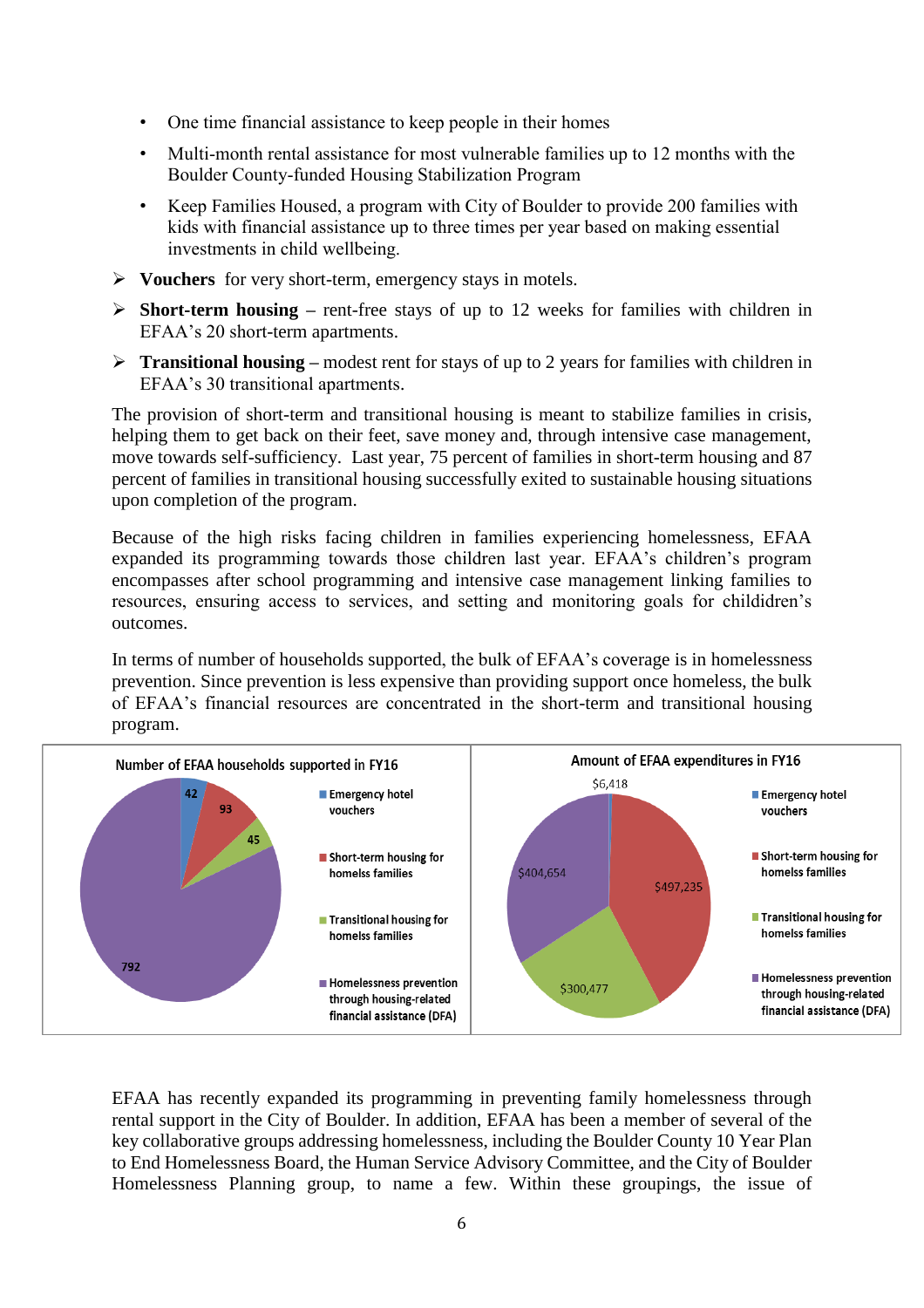- One time financial assistance to keep people in their homes
- Multi-month rental assistance for most vulnerable families up to 12 months with the Boulder County-funded Housing Stabilization Program
- Keep Families Housed, a program with City of Boulder to provide 200 families with kids with financial assistance up to three times per year based on making essential investments in child wellbeing.
- **Vouchers** for very short-term, emergency stays in motels.
- **Short-term housing –** rent-free stays of up to 12 weeks for families with children in EFAA's 20 short-term apartments.
- **Transitional housing** modest rent for stays of up to 2 years for families with children in EFAA's 30 transitional apartments.

The provision of short-term and transitional housing is meant to stabilize families in crisis, helping them to get back on their feet, save money and, through intensive case management, move towards self-sufficiency. Last year, 75 percent of families in short-term housing and 87 percent of families in transitional housing successfully exited to sustainable housing situations upon completion of the program.

Because of the high risks facing children in families experiencing homelessness, EFAA expanded its programming towards those children last year. EFAA's children's program encompasses after school programming and intensive case management linking families to resources, ensuring access to services, and setting and monitoring goals for childidren's outcomes.

In terms of number of households supported, the bulk of EFAA's coverage is in homelessness prevention. Since prevention is less expensive than providing support once homeless, the bulk of EFAA's financial resources are concentrated in the short-term and transitional housing program.



EFAA has recently expanded its programming in preventing family homelessness through rental support in the City of Boulder. In addition, EFAA has been a member of several of the key collaborative groups addressing homelessness, including the Boulder County 10 Year Plan to End Homelessness Board, the Human Service Advisory Committee, and the City of Boulder Homelessness Planning group, to name a few. Within these groupings, the issue of